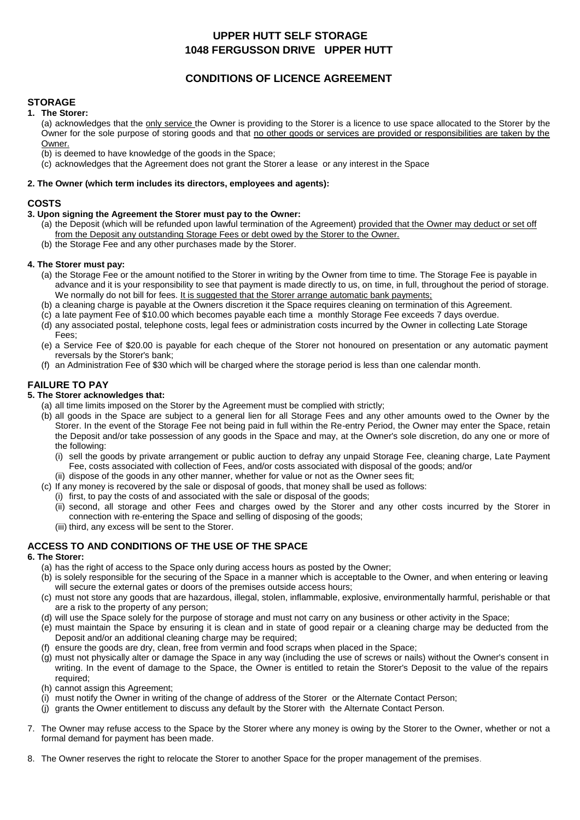# **UPPER HUTT SELF STORAGE 1048 FERGUSSON DRIVE UPPER HUTT**

# **CONDITIONS OF LICENCE AGREEMENT**

## **STORAGE**

### **1. The Storer:**

(a) acknowledges that the only service the Owner is providing to the Storer is a licence to use space allocated to the Storer by the Owner for the sole purpose of storing goods and that no other goods or services are provided or responsibilities are taken by the Owner.

- (b) is deemed to have knowledge of the goods in the Space;
- (c) acknowledges that the Agreement does not grant the Storer a lease or any interest in the Space

#### **2. The Owner (which term includes its directors, employees and agents):**

#### **COSTS**

#### **3. Upon signing the Agreement the Storer must pay to the Owner:**

- (a) the Deposit (which will be refunded upon lawful termination of the Agreement) provided that the Owner may deduct or set off from the Deposit any outstanding Storage Fees or debt owed by the Storer to the Owner.
- (b) the Storage Fee and any other purchases made by the Storer.

#### **4. The Storer must pay:**

- (a) the Storage Fee or the amount notified to the Storer in writing by the Owner from time to time. The Storage Fee is payable in advance and it is your responsibility to see that payment is made directly to us, on time, in full, throughout the period of storage. We normally do not bill for fees. It is suggested that the Storer arrange automatic bank payments;
- (b) a cleaning charge is payable at the Owners discretion it the Space requires cleaning on termination of this Agreement.
- (c) a late payment Fee of \$10.00 which becomes payable each time a monthly Storage Fee exceeds 7 days overdue.
- (d) any associated postal, telephone costs, legal fees or administration costs incurred by the Owner in collecting Late Storage Fees;
- (e) a Service Fee of \$20.00 is payable for each cheque of the Storer not honoured on presentation or any automatic payment reversals by the Storer's bank;
- (f) an Administration Fee of \$30 which will be charged where the storage period is less than one calendar month.

## **FAILURE TO PAY**

#### **5. The Storer acknowledges that:**

- (a) all time limits imposed on the Storer by the Agreement must be complied with strictly;
- (b) all goods in the Space are subject to a general lien for all Storage Fees and any other amounts owed to the Owner by the Storer. In the event of the Storage Fee not being paid in full within the Re-entry Period, the Owner may enter the Space, retain the Deposit and/or take possession of any goods in the Space and may, at the Owner's sole discretion, do any one or more of the following:
	- (i) sell the goods by private arrangement or public auction to defray any unpaid Storage Fee, cleaning charge, Late Payment Fee, costs associated with collection of Fees, and/or costs associated with disposal of the goods; and/or
	- (ii) dispose of the goods in any other manner, whether for value or not as the Owner sees fit;
- (c) If any money is recovered by the sale or disposal of goods, that money shall be used as follows:
	- (i) first, to pay the costs of and associated with the sale or disposal of the goods;
	- (ii) second, all storage and other Fees and charges owed by the Storer and any other costs incurred by the Storer in connection with re-entering the Space and selling of disposing of the goods;
	- (iii) third, any excess will be sent to the Storer.

# **ACCESS TO AND CONDITIONS OF THE USE OF THE SPACE**

#### **6. The Storer:**

- (a) has the right of access to the Space only during access hours as posted by the Owner;
- (b) is solely responsible for the securing of the Space in a manner which is acceptable to the Owner, and when entering or leaving will secure the external gates or doors of the premises outside access hours;
- (c) must not store any goods that are hazardous, illegal, stolen, inflammable, explosive, environmentally harmful, perishable or that are a risk to the property of any person;
- (d) will use the Space solely for the purpose of storage and must not carry on any business or other activity in the Space;
- (e) must maintain the Space by ensuring it is clean and in state of good repair or a cleaning charge may be deducted from the Deposit and/or an additional cleaning charge may be required;
- (f) ensure the goods are dry, clean, free from vermin and food scraps when placed in the Space;
- (g) must not physically alter or damage the Space in any way (including the use of screws or nails) without the Owner's consent in writing. In the event of damage to the Space, the Owner is entitled to retain the Storer's Deposit to the value of the repairs required;
- (h) cannot assign this Agreement;
- (i) must notify the Owner in writing of the change of address of the Storer or the Alternate Contact Person;
- (j) grants the Owner entitlement to discuss any default by the Storer with the Alternate Contact Person.
- 7. The Owner may refuse access to the Space by the Storer where any money is owing by the Storer to the Owner, whether or not a formal demand for payment has been made.
- 8. The Owner reserves the right to relocate the Storer to another Space for the proper management of the premises.